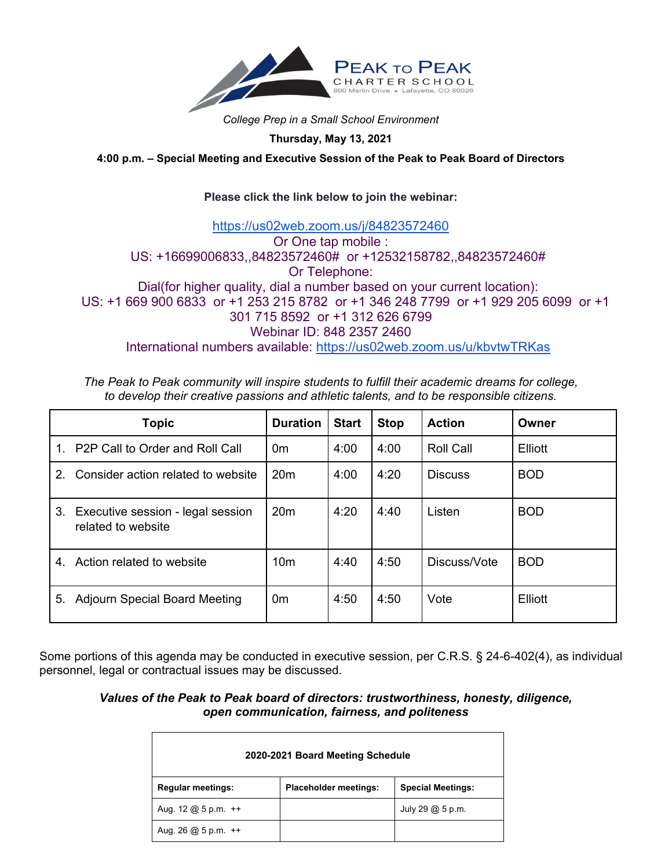

*College Prep in a Small School Environment*

**Thursday, May 13, 2021**

**4:00 p.m. – Special Meeting and Executive Session of the Peak to Peak Board of Directors** 

## **Please click the link below to join the webinar:**

## <https://us02web.zoom.us/j/84823572460> Or One tap mobile : US: +16699006833,,84823572460# or +12532158782,,84823572460# Or Telephone: Dial(for higher quality, dial a number based on your current location): US: +1 669 900 6833 or +1 253 215 8782 or +1 346 248 7799 or +1 929 205 6099 or +1 301 715 8592 or +1 312 626 6799 Webinar ID: 848 2357 2460 International numbers available: <https://us02web.zoom.us/u/kbvtwTRKas>

*The Peak to Peak community will inspire students to fulfill their academic dreams for college, to develop their creative passions and athletic talents, and to be responsible citizens.*

| Topic                                                         | <b>Duration</b> | <b>Start</b> | <b>Stop</b> | <b>Action</b>    | Owner      |
|---------------------------------------------------------------|-----------------|--------------|-------------|------------------|------------|
| P <sub>2</sub> P Call to Order and Roll Call<br>1             | 0 <sub>m</sub>  | 4:00         | 4:00        | <b>Roll Call</b> | Elliott    |
| Consider action related to website<br>$2_{-}$                 | 20 <sub>m</sub> | 4:00         | 4:20        | <b>Discuss</b>   | <b>BOD</b> |
| 3.<br>Executive session - legal session<br>related to website | 20 <sub>m</sub> | 4:20         | 4:40        | Listen           | <b>BOD</b> |
| Action related to website<br>4.                               | 10 <sub>m</sub> | 4:40         | 4:50        | Discuss/Vote     | <b>BOD</b> |
| 5.<br><b>Adjourn Special Board Meeting</b>                    | 0 <sub>m</sub>  | 4:50         | 4:50        | Vote             | Elliott    |

Some portions of this agenda may be conducted in executive session, per C.R.S. § 24-6-402(4), as individual personnel, legal or contractual issues may be discussed.

## *Values of the Peak to Peak board of directors: trustworthiness, honesty, diligence, open communication, fairness, and politeness*

| 2020-2021 Board Meeting Schedule                                                |                              |                          |  |  |  |  |
|---------------------------------------------------------------------------------|------------------------------|--------------------------|--|--|--|--|
| <b>Regular meetings:</b>                                                        | <b>Placeholder meetings:</b> | <b>Special Meetings:</b> |  |  |  |  |
| Aug. $12 \text{ } \textcircled{a} 5 \text{ } \text{p} \text{.} \text{m}$ . $++$ |                              | July 29 @ 5 p.m.         |  |  |  |  |
| Aug. 26 $@$ 5 p.m. $++$                                                         |                              |                          |  |  |  |  |